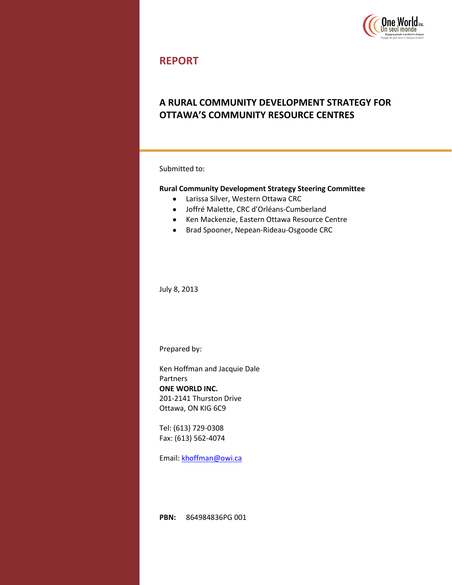

## **REPORT**

## **A RURAL COMMUNITY DEVELOPMENT STRATEGY FOR OTTAWA'S COMMUNITY RESOURCE CENTRES**

Submitted to:

#### **Rural Community Development Strategy Steering Committee**

- $\bullet$ Larissa Silver, Western Ottawa CRC
- Joffré Malette, CRC d'Orléans-Cumberland
- Ken Mackenzie, Eastern Ottawa Resource Centre
- Brad Spooner, Nepean-Rideau-Osgoode CRC

July 8, 2013

Prepared by:

Ken Hoffman and Jacquie Dale Partners **ONE WORLD INC.** 201-2141 Thurston Drive Ottawa, ON KIG 6C9

Tel: (613) 729-0308 Fax: (613) 562-4074

Email: [khoffman@owi.ca](mailto:khoffman@owi.ca)

**PBN:** 864984836PG 001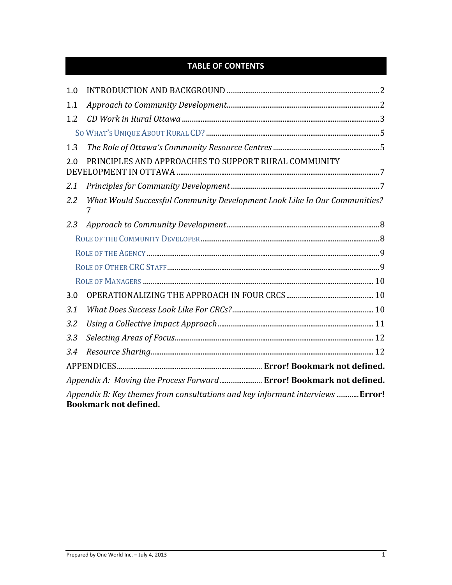# **TABLE OF CONTENTS**

| 1.0                                                                                                            |                                                                                |  |
|----------------------------------------------------------------------------------------------------------------|--------------------------------------------------------------------------------|--|
| 1.1                                                                                                            |                                                                                |  |
| 1.2                                                                                                            |                                                                                |  |
|                                                                                                                |                                                                                |  |
| 1.3                                                                                                            |                                                                                |  |
| PRINCIPLES AND APPROACHES TO SUPPORT RURAL COMMUNITY<br>2.0                                                    |                                                                                |  |
| 2.1                                                                                                            |                                                                                |  |
| 2.2                                                                                                            | What Would Successful Community Development Look Like In Our Communities?<br>7 |  |
| 2.3                                                                                                            |                                                                                |  |
|                                                                                                                |                                                                                |  |
|                                                                                                                |                                                                                |  |
|                                                                                                                |                                                                                |  |
|                                                                                                                |                                                                                |  |
| 3.0                                                                                                            |                                                                                |  |
| 3.1                                                                                                            |                                                                                |  |
| 3.2                                                                                                            |                                                                                |  |
| 3.3                                                                                                            |                                                                                |  |
| 3.4                                                                                                            |                                                                                |  |
|                                                                                                                |                                                                                |  |
| Appendix A: Moving the Process Forward Error! Bookmark not defined.                                            |                                                                                |  |
| Appendix B: Key themes from consultations and key informant interviews  Error!<br><b>Bookmark not defined.</b> |                                                                                |  |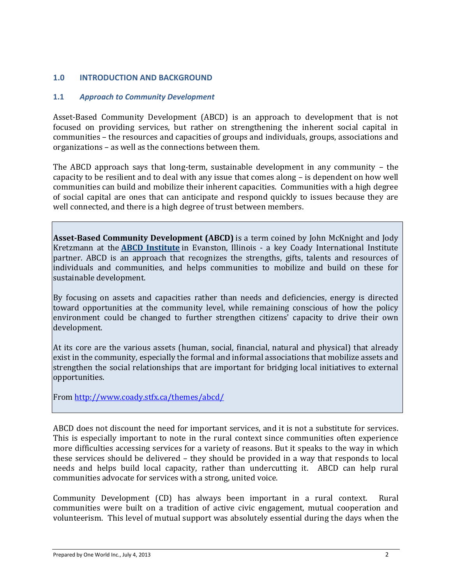## **1.0 INTRODUCTION AND BACKGROUND**

#### **1.1** *Approach to Community Development*

Asset-Based Community Development (ABCD) is an approach to development that is not focused on providing services, but rather on strengthening the inherent social capital in communities – the resources and capacities of groups and individuals, groups, associations and organizations – as well as the connections between them.

The ABCD approach says that long-term, sustainable development in any community – the capacity to be resilient and to deal with any issue that comes along – is dependent on how well communities can build and mobilize their inherent capacities. Communities with a high degree of social capital are ones that can anticipate and respond quickly to issues because they are well connected, and there is a high degree of trust between members.

**Asset-Based Community Development (ABCD)** is a term coined by John McKnight and Jody Kretzmann at the **[ABCD Institute](http://www.abcdinstitute.org/)** in Evanston, Illinois - a key Coady International Institute partner. ABCD is an approach that recognizes the strengths, gifts, talents and resources of individuals and communities, and helps communities to mobilize and build on these for sustainable development.

By focusing on assets and capacities rather than needs and deficiencies, energy is directed toward opportunities at the community level, while remaining conscious of how the policy environment could be changed to further strengthen citizens' capacity to drive their own development.

At its core are the various assets (human, social, financial, natural and physical) that already exist in the community, especially the formal and informal associations that mobilize assets and strengthen the social relationships that are important for bridging local initiatives to external opportunities.

From<http://www.coady.stfx.ca/themes/abcd/>

ABCD does not discount the need for important services, and it is not a substitute for services. This is especially important to note in the rural context since communities often experience more difficulties accessing services for a variety of reasons. But it speaks to the way in which these services should be delivered – they should be provided in a way that responds to local needs and helps build local capacity, rather than undercutting it. ABCD can help rural communities advocate for services with a strong, united voice.

Community Development (CD) has always been important in a rural context. Rural communities were built on a tradition of active civic engagement, mutual cooperation and volunteerism. This level of mutual support was absolutely essential during the days when the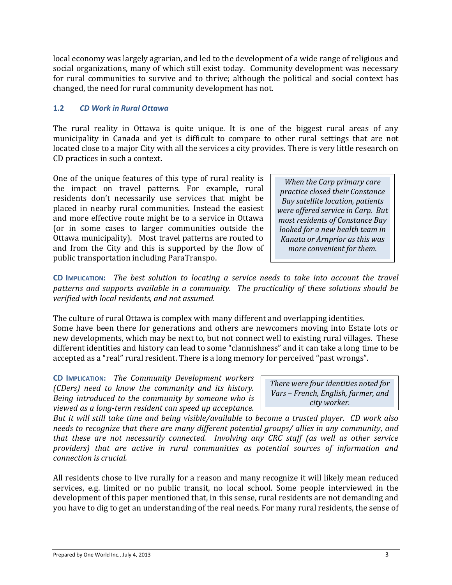local economy was largely agrarian, and led to the development of a wide range of religious and social organizations, many of which still exist today. Community development was necessary for rural communities to survive and to thrive; although the political and social context has changed, the need for rural community development has not.

### **1.2** *CD Work in Rural Ottawa*

The rural reality in Ottawa is quite unique. It is one of the biggest rural areas of any municipality in Canada and yet is difficult to compare to other rural settings that are not located close to a major City with all the services a city provides. There is very little research on CD practices in such a context.

One of the unique features of this type of rural reality is the impact on travel patterns. For example, rural residents don't necessarily use services that might be placed in nearby rural communities. Instead the easiest and more effective route might be to a service in Ottawa (or in some cases to larger communities outside the Ottawa municipality). Most travel patterns are routed to and from the City and this is supported by the flow of public transportation including ParaTranspo.

*When the Carp primary care practice closed their Constance Bay satellite location, patients were offered service in Carp. But most residents of Constance Bay looked for a new health team in Kanata or Arnprior as this was more convenient for them.*

**CD IMPLICATION:** *The best solution to locating a service needs to take into account the travel patterns and supports available in a community. The practicality of these solutions should be verified with local residents, and not assumed.*

The culture of rural Ottawa is complex with many different and overlapping identities. Some have been there for generations and others are newcomers moving into Estate lots or new developments, which may be next to, but not connect well to existing rural villages. These different identities and history can lead to some "clannishness" and it can take a long time to be accepted as a "real" rural resident. There is a long memory for perceived "past wrongs".

**CD IMPLICATION:** *The Community Development workers (CDers) need to know the community and its history. Being introduced to the community by someone who is viewed as a long-term resident can speed up acceptance.* 

*There were four identities noted for Vars – French, English, farmer, and city worker.*

*But it will still take time and being visible/available to become a trusted player. CD work also needs to recognize that there are many different potential groups/ allies in any community, and that these are not necessarily connected. Involving any CRC staff (as well as other service providers) that are active in rural communities as potential sources of information and connection is crucial.*

All residents chose to live rurally for a reason and many recognize it will likely mean reduced services, e.g. limited or no public transit, no local school. Some people interviewed in the development of this paper mentioned that, in this sense, rural residents are not demanding and you have to dig to get an understanding of the real needs. For many rural residents, the sense of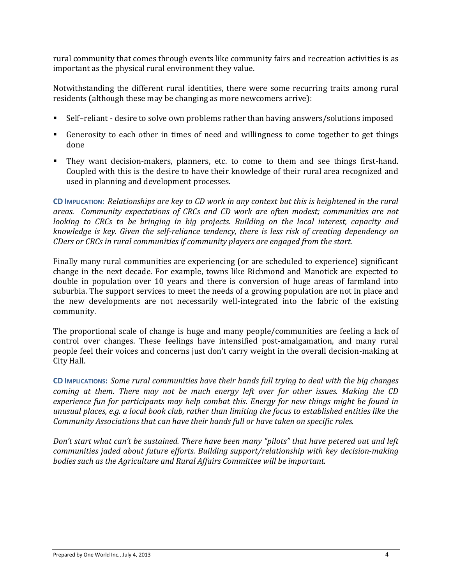rural community that comes through events like community fairs and recreation activities is as important as the physical rural environment they value.

Notwithstanding the different rural identities, there were some recurring traits among rural residents (although these may be changing as more newcomers arrive):

- Self–reliant desire to solve own problems rather than having answers/solutions imposed
- Generosity to each other in times of need and willingness to come together to get things done
- They want decision-makers, planners, etc. to come to them and see things first-hand. Coupled with this is the desire to have their knowledge of their rural area recognized and used in planning and development processes.

**CD IMPLICATION:** *Relationships are key to CD work in any context but this is heightened in the rural areas. Community expectations of CRCs and CD work are often modest; communities are not looking to CRCs to be bringing in big projects. Building on the local interest, capacity and knowledge is key. Given the self-reliance tendency, there is less risk of creating dependency on CDers or CRCs in rural communities if community players are engaged from the start.*

Finally many rural communities are experiencing (or are scheduled to experience) significant change in the next decade. For example, towns like Richmond and Manotick are expected to double in population over 10 years and there is conversion of huge areas of farmland into suburbia. The support services to meet the needs of a growing population are not in place and the new developments are not necessarily well-integrated into the fabric of the existing community.

The proportional scale of change is huge and many people/communities are feeling a lack of control over changes. These feelings have intensified post-amalgamation, and many rural people feel their voices and concerns just don't carry weight in the overall decision-making at City Hall.

**CD IMPLICATIONS:** *Some rural communities have their hands full trying to deal with the big changes coming at them. There may not be much energy left over for other issues. Making the CD experience fun for participants may help combat this. Energy for new things might be found in unusual places, e.g. a local book club, rather than limiting the focus to established entities like the Community Associations that can have their hands full or have taken on specific roles.* 

*Don't start what can't be sustained. There have been many "pilots" that have petered out and left communities jaded about future efforts. Building support/relationship with key decision-making bodies such as the Agriculture and Rural Affairs Committee will be important.*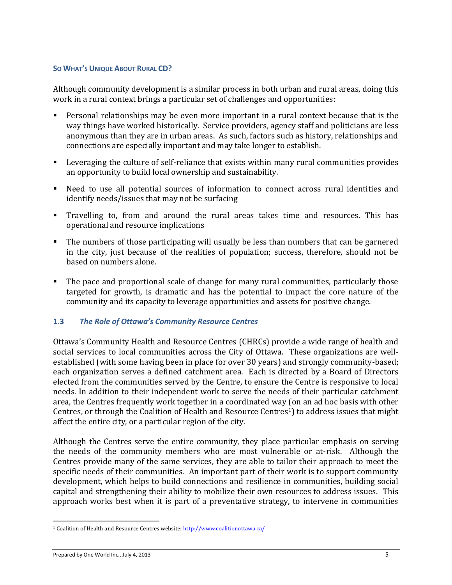#### **SO WHAT'S UNIQUE ABOUT RURAL CD?**

Although community development is a similar process in both urban and rural areas, doing this work in a rural context brings a particular set of challenges and opportunities:

- Personal relationships may be even more important in a rural context because that is the way things have worked historically. Service providers, agency staff and politicians are less anonymous than they are in urban areas. As such, factors such as history, relationships and connections are especially important and may take longer to establish.
- Leveraging the culture of self-reliance that exists within many rural communities provides an opportunity to build local ownership and sustainability.
- Need to use all potential sources of information to connect across rural identities and identify needs/issues that may not be surfacing
- Travelling to, from and around the rural areas takes time and resources. This has operational and resource implications
- The numbers of those participating will usually be less than numbers that can be garnered in the city, just because of the realities of population; success, therefore, should not be based on numbers alone.
- The pace and proportional scale of change for many rural communities, particularly those targeted for growth, is dramatic and has the potential to impact the core nature of the community and its capacity to leverage opportunities and assets for positive change.

#### **1.3** *The Role of Ottawa's Community Resource Centres*

Ottawa's Community Health and Resource Centres (CHRCs) provide a wide range of health and social services to local communities across the City of Ottawa. These organizations are wellestablished (with some having been in place for over 30 years) and strongly community-based; each organization serves a defined catchment area. Each is directed by a Board of Directors elected from the communities served by the Centre, to ensure the Centre is responsive to local needs. In addition to their independent work to serve the needs of their particular catchment area, the Centres frequently work together in a coordinated way (on an ad hoc basis with other Centres, or through the Coalition of Health and Resource Centres1) to address issues that might affect the entire city, or a particular region of the city.

Although the Centres serve the entire community, they place particular emphasis on serving the needs of the community members who are most vulnerable or at-risk. Although the Centres provide many of the same services, they are able to tailor their approach to meet the specific needs of their communities. An important part of their work is to support community development, which helps to build connections and resilience in communities, building social capital and strengthening their ability to mobilize their own resources to address issues. This approach works best when it is part of a preventative strategy, to intervene in communities

 $\overline{a}$ 

<sup>&</sup>lt;sup>1</sup> Coalition of Health and Resource Centres website[: http://www.coalitionottawa.ca/](http://www.coalitionottawa.ca/)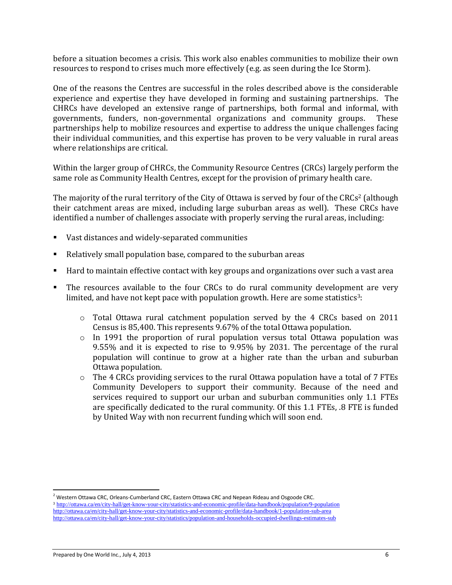before a situation becomes a crisis. This work also enables communities to mobilize their own resources to respond to crises much more effectively (e.g. as seen during the Ice Storm).

One of the reasons the Centres are successful in the roles described above is the considerable experience and expertise they have developed in forming and sustaining partnerships. The CHRCs have developed an extensive range of partnerships, both formal and informal, with governments, funders, non-governmental organizations and community groups. These partnerships help to mobilize resources and expertise to address the unique challenges facing their individual communities, and this expertise has proven to be very valuable in rural areas where relationships are critical.

Within the larger group of CHRCs, the Community Resource Centres (CRCs) largely perform the same role as Community Health Centres, except for the provision of primary health care.

The majority of the rural territory of the City of Ottawa is served by four of the CRCs<sup>2</sup> (although their catchment areas are mixed, including large suburban areas as well). These CRCs have identified a number of challenges associate with properly serving the rural areas, including:

- Vast distances and widely-separated communities
- Relatively small population base, compared to the suburban areas
- Hard to maintain effective contact with key groups and organizations over such a vast area
- The resources available to the four CRCs to do rural community development are very limited, and have not kept pace with population growth. Here are some statistics<sup>3</sup>:
	- $\circ$  Total Ottawa rural catchment population served by the 4 CRCs based on 2011 Census is 85,400. This represents 9.67% of the total Ottawa population.
	- $\circ$  In 1991 the proportion of rural population versus total Ottawa population was 9.55% and it is expected to rise to 9.95% by 2031. The percentage of the rural population will continue to grow at a higher rate than the urban and suburban Ottawa population.
	- $\circ$  The 4 CRCs providing services to the rural Ottawa population have a total of 7 FTEs Community Developers to support their community. Because of the need and services required to support our urban and suburban communities only 1.1 FTEs are specifically dedicated to the rural community. Of this 1.1 FTEs, .8 FTE is funded by United Way with non recurrent funding which will soon end.

 $\overline{a}$ <sup>2</sup> Western Ottawa CRC, Orleans-Cumberland CRC, Eastern Ottawa CRC and Nepean Rideau and Osgoode CRC. <sup>3</sup> <http://ottawa.ca/en/city-hall/get-know-your-city/statistics-and-economic-profile/data-handbook/population/9-population> <http://ottawa.ca/en/city-hall/get-know-your-city/statistics-and-economic-profile/data-handbook/1-population-sub-area> <http://ottawa.ca/en/city-hall/get-know-your-city/statistics/population-and-households-occupied-dwellings-estimates-sub>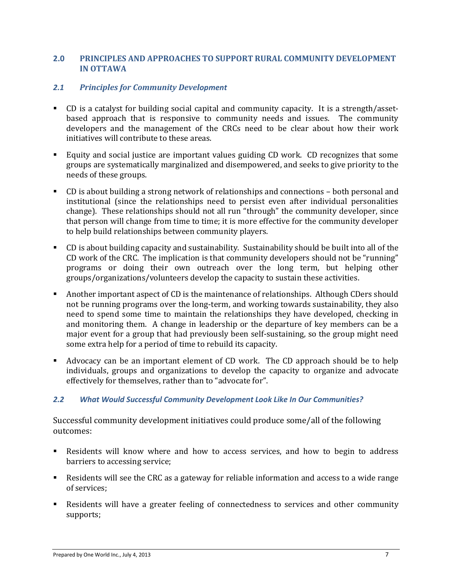## **2.0 PRINCIPLES AND APPROACHES TO SUPPORT RURAL COMMUNITY DEVELOPMENT IN OTTAWA**

### *2.1 Principles for Community Development*

- CD is a catalyst for building social capital and community capacity. It is a strength/assetbased approach that is responsive to community needs and issues. The community developers and the management of the CRCs need to be clear about how their work initiatives will contribute to these areas.
- Equity and social justice are important values guiding CD work. CD recognizes that some groups are systematically marginalized and disempowered, and seeks to give priority to the needs of these groups.
- CD is about building a strong network of relationships and connections both personal and institutional (since the relationships need to persist even after individual personalities change). These relationships should not all run "through" the community developer, since that person will change from time to time; it is more effective for the community developer to help build relationships between community players.
- CD is about building capacity and sustainability. Sustainability should be built into all of the CD work of the CRC. The implication is that community developers should not be "running" programs or doing their own outreach over the long term, but helping other groups/organizations/volunteers develop the capacity to sustain these activities.
- Another important aspect of CD is the maintenance of relationships. Although CDers should not be running programs over the long-term, and working towards sustainability, they also need to spend some time to maintain the relationships they have developed, checking in and monitoring them. A change in leadership or the departure of key members can be a major event for a group that had previously been self-sustaining, so the group might need some extra help for a period of time to rebuild its capacity.
- Advocacy can be an important element of CD work. The CD approach should be to help individuals, groups and organizations to develop the capacity to organize and advocate effectively for themselves, rather than to "advocate for".

#### *2.2 What Would Successful Community Development Look Like In Our Communities?*

Successful community development initiatives could produce some/all of the following outcomes:

- Residents will know where and how to access services, and how to begin to address barriers to accessing service;
- Residents will see the CRC as a gateway for reliable information and access to a wide range of services;
- Residents will have a greater feeling of connectedness to services and other community supports;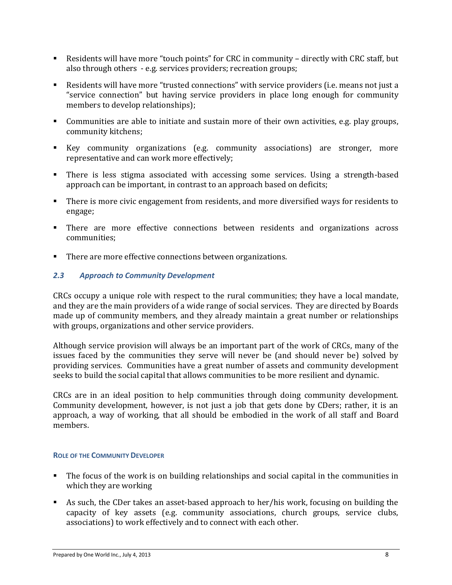- Residents will have more "touch points" for CRC in community directly with CRC staff, but also through others - e.g. services providers; recreation groups;
- Residents will have more "trusted connections" with service providers (i.e. means not just a "service connection" but having service providers in place long enough for community members to develop relationships);
- **Communities are able to initiate and sustain more of their own activities, e.g. play groups,** community kitchens;
- Key community organizations (e.g. community associations) are stronger, more representative and can work more effectively;
- There is less stigma associated with accessing some services. Using a strength-based approach can be important, in contrast to an approach based on deficits;
- There is more civic engagement from residents, and more diversified ways for residents to engage;
- **There are more effective connections between residents and organizations across** communities;
- There are more effective connections between organizations.

#### *2.3 Approach to Community Development*

CRCs occupy a unique role with respect to the rural communities; they have a local mandate, and they are the main providers of a wide range of social services. They are directed by Boards made up of community members, and they already maintain a great number or relationships with groups, organizations and other service providers.

Although service provision will always be an important part of the work of CRCs, many of the issues faced by the communities they serve will never be (and should never be) solved by providing services. Communities have a great number of assets and community development seeks to build the social capital that allows communities to be more resilient and dynamic.

CRCs are in an ideal position to help communities through doing community development. Community development, however, is not just a job that gets done by CDers; rather, it is an approach, a way of working, that all should be embodied in the work of all staff and Board members.

#### **ROLE OF THE COMMUNITY DEVELOPER**

- The focus of the work is on building relationships and social capital in the communities in which they are working
- As such, the CDer takes an asset-based approach to her/his work, focusing on building the capacity of key assets (e.g. community associations, church groups, service clubs, associations) to work effectively and to connect with each other.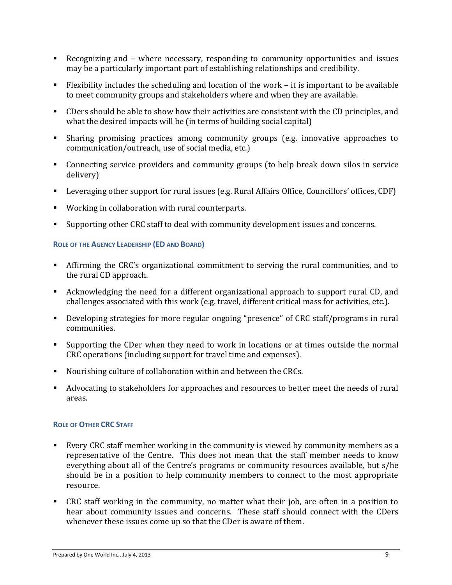- Recognizing and where necessary, responding to community opportunities and issues may be a particularly important part of establishing relationships and credibility.
- Flexibility includes the scheduling and location of the work it is important to be available to meet community groups and stakeholders where and when they are available.
- CDers should be able to show how their activities are consistent with the CD principles, and what the desired impacts will be (in terms of building social capital)
- Sharing promising practices among community groups (e.g. innovative approaches to communication/outreach, use of social media, etc.)
- Connecting service providers and community groups (to help break down silos in service delivery)
- Leveraging other support for rural issues (e.g. Rural Affairs Office, Councillors' offices, CDF)
- Working in collaboration with rural counterparts.
- Supporting other CRC staff to deal with community development issues and concerns.

#### **ROLE OF THE AGENCY LEADERSHIP (ED AND BOARD)**

- Affirming the CRC's organizational commitment to serving the rural communities, and to the rural CD approach.
- Acknowledging the need for a different organizational approach to support rural CD, and challenges associated with this work (e.g. travel, different critical mass for activities, etc.).
- Developing strategies for more regular ongoing "presence" of CRC staff/programs in rural communities.
- Supporting the CDer when they need to work in locations or at times outside the normal CRC operations (including support for travel time and expenses).
- Nourishing culture of collaboration within and between the CRCs.
- Advocating to stakeholders for approaches and resources to better meet the needs of rural areas.

#### **ROLE OF OTHER CRC STAFF**

- Every CRC staff member working in the community is viewed by community members as a representative of the Centre. This does not mean that the staff member needs to know everything about all of the Centre's programs or community resources available, but s/he should be in a position to help community members to connect to the most appropriate resource.
- CRC staff working in the community, no matter what their job, are often in a position to hear about community issues and concerns. These staff should connect with the CDers whenever these issues come up so that the CDer is aware of them.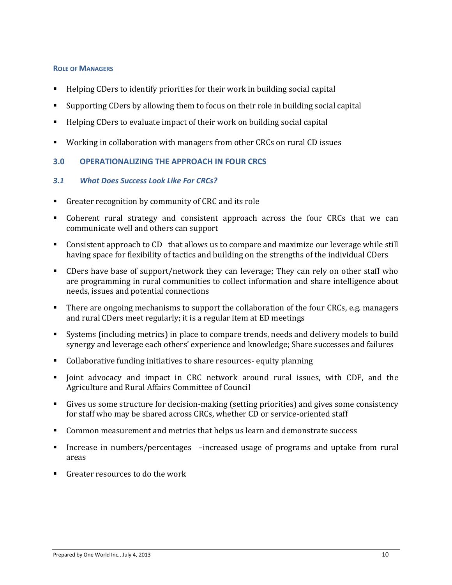#### **ROLE OF MANAGERS**

- Helping CDers to identify priorities for their work in building social capital
- Supporting CDers by allowing them to focus on their role in building social capital
- Helping CDers to evaluate impact of their work on building social capital
- Working in collaboration with managers from other CRCs on rural CD issues

## **3.0 OPERATIONALIZING THE APPROACH IN FOUR CRCS**

## *3.1 What Does Success Look Like For CRCs?*

- Greater recognition by community of CRC and its role
- Coherent rural strategy and consistent approach across the four CRCs that we can communicate well and others can support
- Consistent approach to CD that allows us to compare and maximize our leverage while still having space for flexibility of tactics and building on the strengths of the individual CDers
- CDers have base of support/network they can leverage; They can rely on other staff who are programming in rural communities to collect information and share intelligence about needs, issues and potential connections
- There are ongoing mechanisms to support the collaboration of the four CRCs, e.g. managers and rural CDers meet regularly; it is a regular item at ED meetings
- Systems (including metrics) in place to compare trends, needs and delivery models to build synergy and leverage each others' experience and knowledge; Share successes and failures
- Collaborative funding initiatives to share resources- equity planning
- Joint advocacy and impact in CRC network around rural issues, with CDF, and the Agriculture and Rural Affairs Committee of Council
- Gives us some structure for decision-making (setting priorities) and gives some consistency for staff who may be shared across CRCs, whether CD or service-oriented staff
- Common measurement and metrics that helps us learn and demonstrate success
- Increase in numbers/percentages –increased usage of programs and uptake from rural areas
- Greater resources to do the work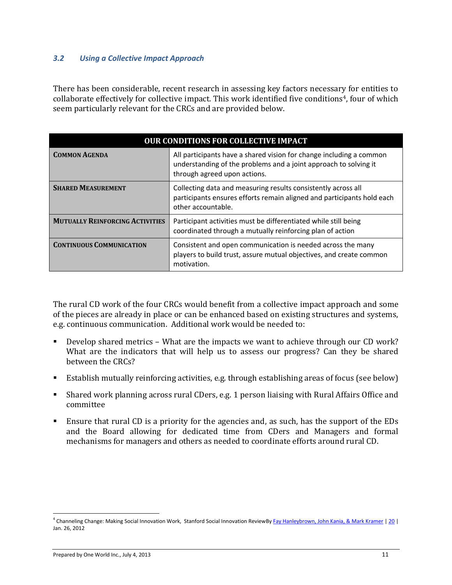#### *3.2 Using a Collective Impact Approach*

There has been considerable, recent research in assessing key factors necessary for entities to collaborate effectively for collective impact. This work identified five conditions<sup>4</sup>, four of which seem particularly relevant for the CRCs and are provided below.

| <b>OUR CONDITIONS FOR COLLECTIVE IMPACT</b> |                                                                                                                                                                         |  |
|---------------------------------------------|-------------------------------------------------------------------------------------------------------------------------------------------------------------------------|--|
| <b>COMMON AGENDA</b>                        | All participants have a shared vision for change including a common<br>understanding of the problems and a joint approach to solving it<br>through agreed upon actions. |  |
| <b>SHARED MEASUREMENT</b>                   | Collecting data and measuring results consistently across all<br>participants ensures efforts remain aligned and participants hold each<br>other accountable.           |  |
| <b>MUTUALLY REINFORCING ACTIVITIES</b>      | Participant activities must be differentiated while still being<br>coordinated through a mutually reinforcing plan of action                                            |  |
| <b>CONTINUOUS COMMUNICATION</b>             | Consistent and open communication is needed across the many<br>players to build trust, assure mutual objectives, and create common<br>motivation.                       |  |

The rural CD work of the four CRCs would benefit from a collective impact approach and some of the pieces are already in place or can be enhanced based on existing structures and systems, e.g. continuous communication. Additional work would be needed to:

- Develop shared metrics What are the impacts we want to achieve through our CD work? What are the indicators that will help us to assess our progress? Can they be shared between the CRCs?
- Establish mutually reinforcing activities, e.g. through establishing areas of focus (see below)
- Shared work planning across rural CDers, e.g. 1 person liaising with Rural Affairs Office and committee
- Ensure that rural CD is a priority for the agencies and, as such, has the support of the EDs and the Board allowing for dedicated time from CDers and Managers and formal mechanisms for managers and others as needed to coordinate efforts around rural CD.

 $\overline{a}$ 

<sup>&</sup>lt;sup>4</sup> Channeling Change: Making Social Innovation Work, Stanford Social Innovation ReviewB[y Fay Hanleybrown, John Kania, & Mark Kramer](http://www.ssireview.org/blog/entry/channeling_change_making_collective_impact_work#bio-footer) [| 20](http://www.ssireview.org/blog/entry/channeling_change_making_collective_impact_work#comments) | Jan. 26, 2012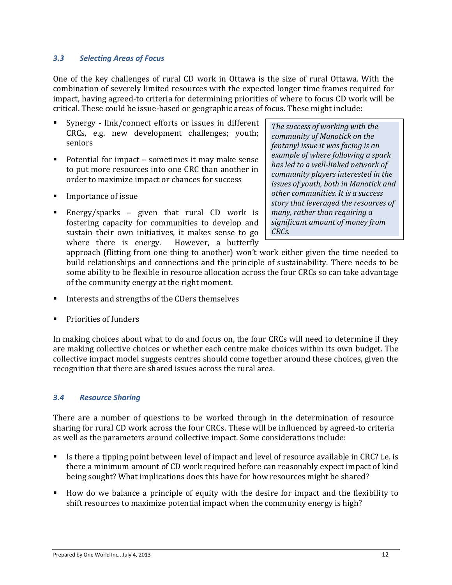#### *3.3 Selecting Areas of Focus*

One of the key challenges of rural CD work in Ottawa is the size of rural Ottawa. With the combination of severely limited resources with the expected longer time frames required for impact, having agreed-to criteria for determining priorities of where to focus CD work will be critical. These could be issue-based or geographic areas of focus. These might include:

- Synergy link/connect efforts or issues in different CRCs, e.g. new development challenges; youth; seniors
- Potential for impact sometimes it may make sense to put more resources into one CRC than another in order to maximize impact or chances for success
- **Importance of issue**
- Energy/sparks given that rural CD work is fostering capacity for communities to develop and sustain their own initiatives, it makes sense to go where there is energy. However, a butterfly

*The success of working with the community of Manotick on the fentanyl issue it was facing is an example of where following a spark has led to a well-linked network of community players interested in the issues of youth, both in Manotick and other communities. It is a success story that leveraged the resources of many, rather than requiring a significant amount of money from CRCs.* 

approach (flitting from one thing to another) won't work either given the time needed to build relationships and connections and the principle of sustainability. There needs to be some ability to be flexible in resource allocation across the four CRCs so can take advantage of the community energy at the right moment.

- Interests and strengths of the CDers themselves
- Priorities of funders

In making choices about what to do and focus on, the four CRCs will need to determine if they are making collective choices or whether each centre make choices within its own budget. The collective impact model suggests centres should come together around these choices, given the recognition that there are shared issues across the rural area.

#### *3.4 Resource Sharing*

There are a number of questions to be worked through in the determination of resource sharing for rural CD work across the four CRCs. These will be influenced by agreed-to criteria as well as the parameters around collective impact. Some considerations include:

- Is there a tipping point between level of impact and level of resource available in CRC? i.e. is there a minimum amount of CD work required before can reasonably expect impact of kind being sought? What implications does this have for how resources might be shared?
- How do we balance a principle of equity with the desire for impact and the flexibility to shift resources to maximize potential impact when the community energy is high?